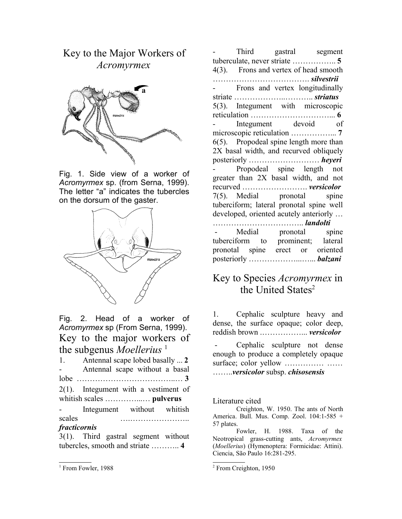## Key to the Major Workers of *Acromyrmex*



Fig. 1. Side view of a worker of *Acromyrmex* sp. (from Serna, 1999). The letter "a" indicates the tubercles on the dorsum of the gaster.



Fig. 2. Head of a worker of *Acromyrmex* sp (From Serna, 1999). Key to the major workers of the subgenus *Moellerius*<sup>1</sup>

| 1.                  | Antennal scape lobed basally  2         |  |  |
|---------------------|-----------------------------------------|--|--|
| $\sim$ 10 $\pm$     | Antennal scape without a basal          |  |  |
|                     |                                         |  |  |
|                     | $2(1)$ . Integument with a vestiment of |  |  |
|                     |                                         |  |  |
| $\omega_{\rm{max}}$ | Integument without whitish              |  |  |
| scales              |                                         |  |  |
| fracticornis        |                                         |  |  |
|                     | $3(1)$ . Third gastral segment without  |  |  |

tubercles, smooth and striate ……….. **4**

Third gastral segment tuberculate, never striate …………….. **5** 4(3). Frons and vertex of head smooth ………………………………. *silvestrii* - Frons and vertex longitudinally striate ………………..……….. *striatus* 5(3). Integument with microscopic reticulation …………………………... **6** Integument devoid of microscopic reticulation ……………... **7** 6(5). Propodeal spine length more than 2X basal width, and recurved obliquely posteriorly ……………………… *heyeri* Propodeal spine length not greater than 2X basal width, and not recurved ……………………. *versicolor* 7(5). Medial pronotal spine tuberciform; lateral pronotal spine well developed, oriented acutely anteriorly … …………………………….. *landolti* Medial pronotal spine tuberciform to prominent; lateral pronotal spine erect or oriented posteriorly ………………...…... *balzani*

## Key to Species *Acromyrmex* in the United States<sup>2</sup>

1. Cephalic sculpture heavy and dense, the surface opaque; color deep, reddish brown .……………... *versicolor*

Cephalic sculpture not dense enough to produce a completely opaque surface; color yellow …………… …… ……..*versicolor* subsp. *chisosensis*

Literature cited

Creighton, W. 1950. The ants of North America. Bull. Mus. Comp. Zool. 104:1-585 + 57 plates.

Fowler, H. 1988. Taxa of the Neotropical grass-cutting ants, *Acromyrmex* (*Moellerius*) (Hymenoptera: Formicidae: Attini). Ciencia, São Paulo 16:281-295.

<sup>&</sup>lt;sup>1</sup> From Fowler, 1988

<sup>2</sup> From Creighton, 1950